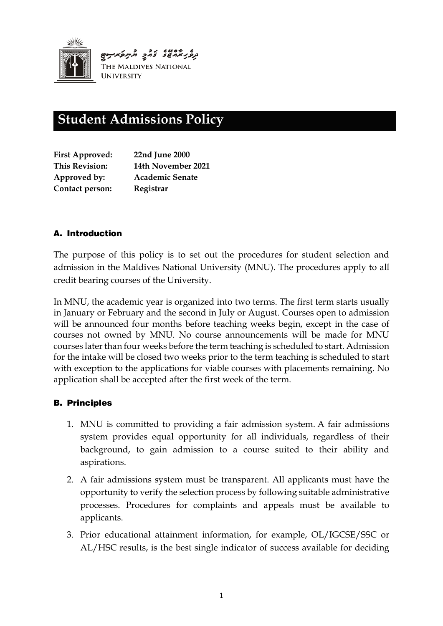

# **Student Admissions Policy**

| <b>First Approved:</b> | 22nd June 2000         |
|------------------------|------------------------|
| <b>This Revision:</b>  | 14th November 2021     |
| Approved by:           | <b>Academic Senate</b> |
| Contact person:        | Registrar              |

## A. Introduction

The purpose of this policy is to set out the procedures for student selection and admission in the Maldives National University (MNU). The procedures apply to all credit bearing courses of the University.

In MNU, the academic year is organized into two terms. The first term starts usually in January or February and the second in July or August. Courses open to admission will be announced four months before teaching weeks begin, except in the case of courses not owned by MNU. No course announcements will be made for MNU courses later than four weeks before the term teaching is scheduled to start. Admission for the intake will be closed two weeks prior to the term teaching is scheduled to start with exception to the applications for viable courses with placements remaining. No application shall be accepted after the first week of the term.

## B. Principles

- 1. MNU is committed to providing a fair admission system. A fair admissions system provides equal opportunity for all individuals, regardless of their background, to gain admission to a course suited to their ability and aspirations.
- 2. A fair admissions system must be transparent. All applicants must have the opportunity to verify the selection process by following suitable administrative processes. Procedures for complaints and appeals must be available to applicants.
- 3. Prior educational attainment information, for example, OL/IGCSE/SSC or AL/HSC results, is the best single indicator of success available for deciding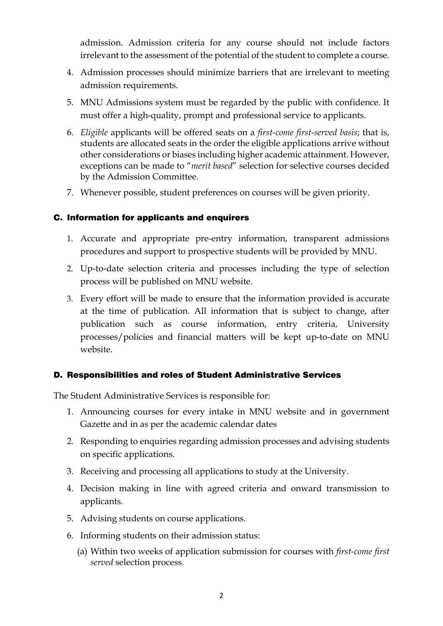admission. Admission criteria for any course should not include factors irrelevant to the assessment of the potential of the student to complete a course.

- 4. Admission processes should minimize barriers that are irrelevant to meeting admission requirements.
- 5. MNU Admissions system must be regarded by the public with confidence. It must offer a high-quality, prompt and professional service to applicants.
- 6. *Eligible* applicants will be offered seats on a *first-come first-served basis*; that is, students are allocated seats in the order the eligible applications arrive without other considerations or biases including higher academic attainment. However, exceptions can be made to "*merit based*" selection for selective courses decided by the Admission Committee.
- 7. Whenever possible, student preferences on courses will be given priority.

#### C. Information for applicants and enquirers

- 1. Accurate and appropriate pre-entry information, transparent admissions procedures and support to prospective students will be provided by MNU.
- 2. Up-to-date selection criteria and processes including the type of selection process will be published on MNU website.
- 3. Every effort will be made to ensure that the information provided is accurate at the time of publication. All information that is subject to change, after publication such as course information, entry criteria, University processes/policies and financial matters will be kept up-to-date on MNU website.

#### D. Responsibilities and roles of Student Administrative Services

The Student Administrative Services is responsible for:

- 1. Announcing courses for every intake in MNU website and in government Gazette and in as per the academic calendar dates
- 2. Responding to enquiries regarding admission processes and advising students on specific applications.
- 3. Receiving and processing all applications to study at the University.
- 4. Decision making in line with agreed criteria and onward transmission to applicants.
- 5. Advising students on course applications.
- 6. Informing students on their admission status:
	- (a) Within two weeks of application submission for courses with *first-come first served* selection process.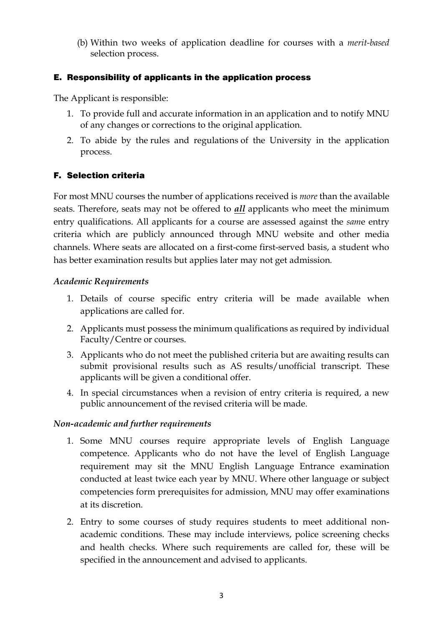(b) Within two weeks of application deadline for courses with a *merit-based* selection process.

#### E. Responsibility of applicants in the application process

The Applicant is responsible:

- 1. To provide full and accurate information in an application and to notify MNU of any changes or corrections to the original application.
- 2. To abide by the [rules and regulations](http://www.exeter.ac.uk/staff/policies/calendar/part1/otherregs/) of the University in the application process.

## F. Selection criteria

For most MNU courses the number of applications received is *more* than the available seats. Therefore, seats may not be offered to *all* applicants who meet the minimum entry qualifications. All applicants for a course are assessed against the *sam*e entry criteria which are publicly announced through MNU website and other media channels. Where seats are allocated on a first-come first-served basis, a student who has better examination results but applies later may not get admission*.* 

#### *Academic Requirements*

- 1. Details of course specific entry criteria will be made available when applications are called for.
- 2. Applicants must possess the minimum qualifications as required by individual Faculty/Centre or courses.
- 3. Applicants who do not meet the published criteria but are awaiting results can submit provisional results such as AS results/unofficial transcript. These applicants will be given a conditional offer.
- 4. In special circumstances when a revision of entry criteria is required, a new public announcement of the revised criteria will be made.

#### *Non-academic and further requirements*

- 1. Some MNU courses require appropriate levels of English Language competence. Applicants who do not have the level of English Language requirement may sit the MNU English Language Entrance examination conducted at least twice each year by MNU. Where other language or subject competencies form prerequisites for admission, MNU may offer examinations at its discretion.
- 2. Entry to some courses of study requires students to meet additional nonacademic conditions. These may include interviews, police screening checks and health checks. Where such requirements are called for, these will be specified in the announcement and advised to applicants.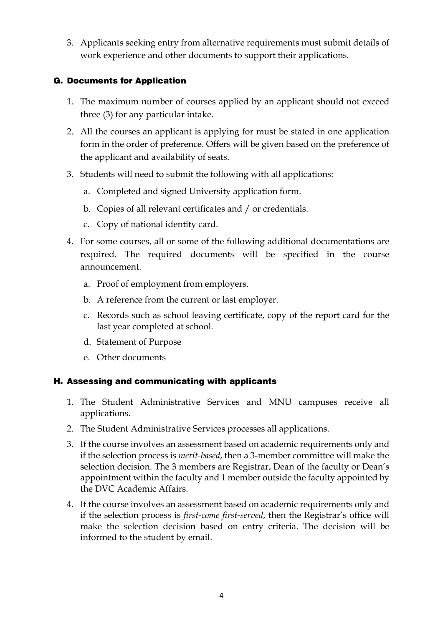3. Applicants seeking entry from alternative requirements must submit details of work experience and other documents to support their applications.

## G. Documents for Application

- 1. The maximum number of courses applied by an applicant should not exceed three (3) for any particular intake.
- 2. All the courses an applicant is applying for must be stated in one application form in the order of preference. Offers will be given based on the preference of the applicant and availability of seats.
- 3. Students will need to submit the following with all applications:
	- a. Completed and signed University application form.
	- b. Copies of all relevant certificates and / or credentials.
	- c. Copy of national identity card.
- 4. For some courses, all or some of the following additional documentations are required. The required documents will be specified in the course announcement.
	- a. Proof of employment from employers.
	- b. A reference from the current or last employer.
	- c. Records such as school leaving certificate, copy of the report card for the last year completed at school.
	- d. Statement of Purpose
	- e. Other documents

## H. Assessing and communicating with applicants

- 1. The Student Administrative Services and MNU campuses receive all applications.
- 2. The Student Administrative Services processes all applications.
- 3. If the course involves an assessment based on academic requirements only and if the selection process is *merit-based*, then a 3-member committee will make the selection decision. The 3 members are Registrar, Dean of the faculty or Dean's appointment within the faculty and 1 member outside the faculty appointed by the DVC Academic Affairs.
- 4. If the course involves an assessment based on academic requirements only and if the selection process is *first-come first-served*, then the Registrar's office will make the selection decision based on entry criteria. The decision will be informed to the student by email.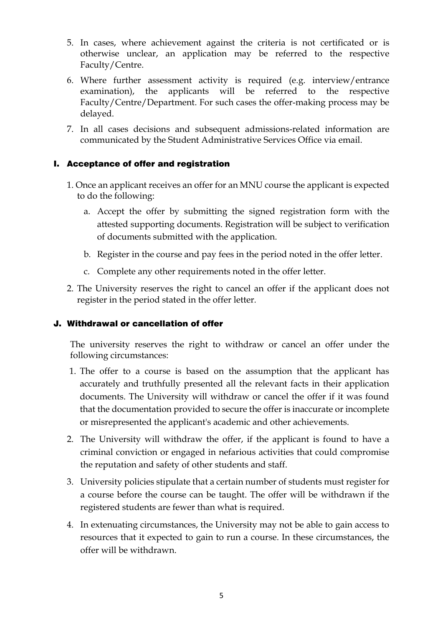- 5. In cases, where achievement against the criteria is not certificated or is otherwise unclear, an application may be referred to the respective Faculty/Centre.
- 6. Where further assessment activity is required (e.g. interview/entrance examination), the applicants will be referred to the respective Faculty/Centre/Department. For such cases the offer-making process may be delayed.
- 7. In all cases decisions and subsequent admissions-related information are communicated by the Student Administrative Services Office via email.

## I. Acceptance of offer and registration

- 1. Once an applicant receives an offer for an MNU course the applicant is expected to do the following:
	- a. Accept the offer by submitting the signed registration form with the attested supporting documents. Registration will be subject to verification of documents submitted with the application.
	- b. Register in the course and pay fees in the period noted in the offer letter.
	- c. Complete any other requirements noted in the offer letter.
- 2. The University reserves the right to cancel an offer if the applicant does not register in the period stated in the offer letter*.*

## J. Withdrawal or cancellation of offer

The university reserves the right to withdraw or cancel an offer under the following circumstances:

- 1. The offer to a course is based on the assumption that the applicant has accurately and truthfully presented all the relevant facts in their application documents. The University will withdraw or cancel the offer if it was found that the documentation provided to secure the offer is inaccurate or incomplete or misrepresented the applicant's academic and other achievements.
- 2. The University will withdraw the offer, if the applicant is found to have a criminal conviction or engaged in nefarious activities that could compromise the reputation and safety of other students and staff.
- 3. University policies stipulate that a certain number of students must register for a course before the course can be taught. The offer will be withdrawn if the registered students are fewer than what is required.
- 4. In extenuating circumstances, the University may not be able to gain access to resources that it expected to gain to run a course. In these circumstances, the offer will be withdrawn.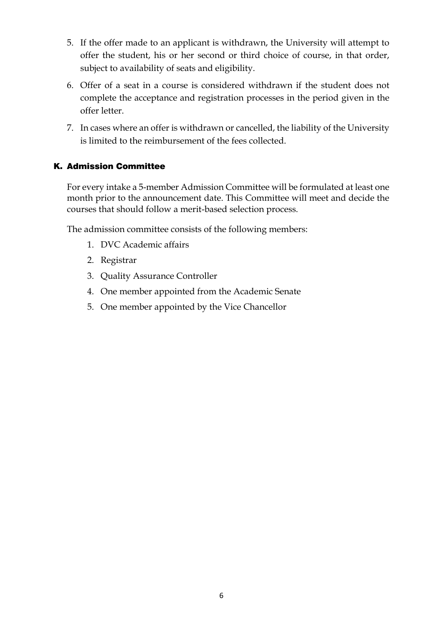- 5. If the offer made to an applicant is withdrawn, the University will attempt to offer the student, his or her second or third choice of course, in that order, subject to availability of seats and eligibility.
- 6. Offer of a seat in a course is considered withdrawn if the student does not complete the acceptance and registration processes in the period given in the offer letter.
- 7. In cases where an offer is withdrawn or cancelled, the liability of the University is limited to the reimbursement of the fees collected.

## K. Admission Committee

For every intake a 5-member Admission Committee will be formulated at least one month prior to the announcement date. This Committee will meet and decide the courses that should follow a merit-based selection process.

The admission committee consists of the following members:

- 1. DVC Academic affairs
- 2. Registrar
- 3. Quality Assurance Controller
- 4. One member appointed from the Academic Senate
- 5. One member appointed by the Vice Chancellor